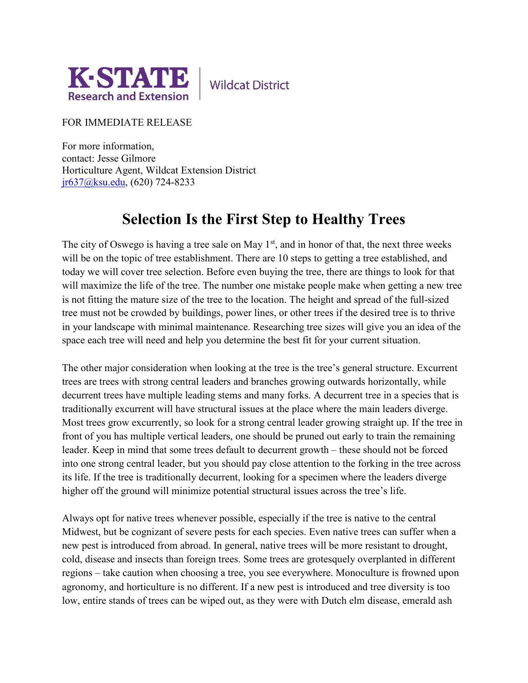

**Wildcat District** 

FOR IMMEDIATE RELEASE

For more information, contact: Jesse Gilmore Horticulture Agent, Wildcat Extension District [jr637@ksu.edu,](mailto:jr637@ksu.edu) (620) 724-8233

## **Selection Is the First Step to Healthy Trees**

The city of Oswego is having a tree sale on May  $1<sup>st</sup>$ , and in honor of that, the next three weeks will be on the topic of tree establishment. There are 10 steps to getting a tree established, and today we will cover tree selection. Before even buying the tree, there are things to look for that will maximize the life of the tree. The number one mistake people make when getting a new tree is not fitting the mature size of the tree to the location. The height and spread of the full-sized tree must not be crowded by buildings, power lines, or other trees if the desired tree is to thrive in your landscape with minimal maintenance. Researching tree sizes will give you an idea of the space each tree will need and help you determine the best fit for your current situation.

The other major consideration when looking at the tree is the tree's general structure. Excurrent trees are trees with strong central leaders and branches growing outwards horizontally, while decurrent trees have multiple leading stems and many forks. A decurrent tree in a species that is traditionally excurrent will have structural issues at the place where the main leaders diverge. Most trees grow excurrently, so look for a strong central leader growing straight up. If the tree in front of you has multiple vertical leaders, one should be pruned out early to train the remaining leader. Keep in mind that some trees default to decurrent growth – these should not be forced into one strong central leader, but you should pay close attention to the forking in the tree across its life. If the tree is traditionally decurrent, looking for a specimen where the leaders diverge higher off the ground will minimize potential structural issues across the tree's life.

Always opt for native trees whenever possible, especially if the tree is native to the central Midwest, but be cognizant of severe pests for each species. Even native trees can suffer when a new pest is introduced from abroad. In general, native trees will be more resistant to drought, cold, disease and insects than foreign trees. Some trees are grotesquely overplanted in different regions – take caution when choosing a tree, you see everywhere. Monoculture is frowned upon agronomy, and horticulture is no different. If a new pest is introduced and tree diversity is too low, entire stands of trees can be wiped out, as they were with Dutch elm disease, emerald ash